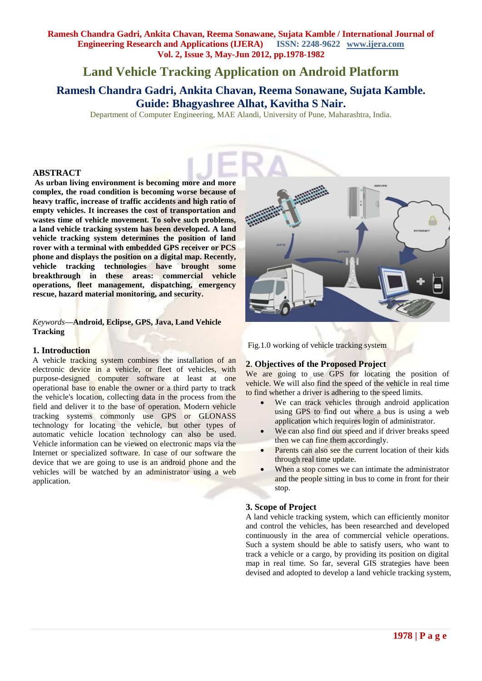# **Land Vehicle Tracking Application on Android Platform**

**Ramesh Chandra Gadri, Ankita Chavan, Reema Sonawane, Sujata Kamble. Guide: Bhagyashree Alhat, Kavitha S Nair.**

Department of Computer Engineering, MAE Alandi, University of Pune, Maharashtra, India.

## **ABSTRACT**

**As urban living environment is becoming more and more complex, the road condition is becoming worse because of heavy traffic, increase of traffic accidents and high ratio of empty vehicles. It increases the cost of transportation and wastes time of vehicle movement. To solve such problems, a land vehicle tracking system has been developed. A land vehicle tracking system determines the position of land rover with a terminal with embedded GPS receiver or PCS phone and displays the position on a digital map. Recently, vehicle tracking technologies have brought some breakthrough in these areas: commercial vehicle operations, fleet management, dispatching, emergency rescue, hazard material monitoring, and security.**

#### *Keywords***—Android, Eclipse, GPS, Java, Land Vehicle Tracking**

## **1. Introduction**

A vehicle tracking system combines the installation of an electronic device in a vehicle, or fleet of vehicles, with purpose-designed [computer software](http://en.wikipedia.org/wiki/Computer_software) at least at one operational base to enable the owner or a third party to track the vehicle's location, collecting data in the process from the field and deliver it to the base of operation. Modern vehicle tracking systems commonly use [GPS](http://en.wikipedia.org/wiki/Global_Positioning_System) or [GLONASS](http://en.wikipedia.org/wiki/GLONASS) technology for locating the vehicle, but other types of [automatic vehicle](http://en.wikipedia.org/wiki/Automatic_vehicle_location) location technology can also be used. Vehicle information can be viewed on electronic maps via the Internet or specialized software. In case of our software the device that we are going to use is an android phone and the vehicles will be watched by an administrator using a web application.



Fig.1.0 working of vehicle tracking system

## **2**. **Objectives of the Proposed Project**

We are going to use GPS for locating the position of vehicle. We will also find the speed of the vehicle in real time to find whether a driver is adhering to the speed limits.

- We can track vehicles through android application using GPS to find out where a bus is using a web application which requires login of administrator.
- We can also find out speed and if driver breaks speed then we can fine them accordingly.
- Parents can also see the current location of their kids through real time update.
- When a stop comes we can intimate the administrator and the people sitting in bus to come in front for their stop.

#### **3. Scope of Project**

A land vehicle tracking system, which can efficiently monitor and control the vehicles, has been researched and developed continuously in the area of commercial vehicle operations. Such a system should be able to satisfy users, who want to track a vehicle or a cargo, by providing its position on digital map in real time. So far, several GIS strategies have been devised and adopted to develop a land vehicle tracking system,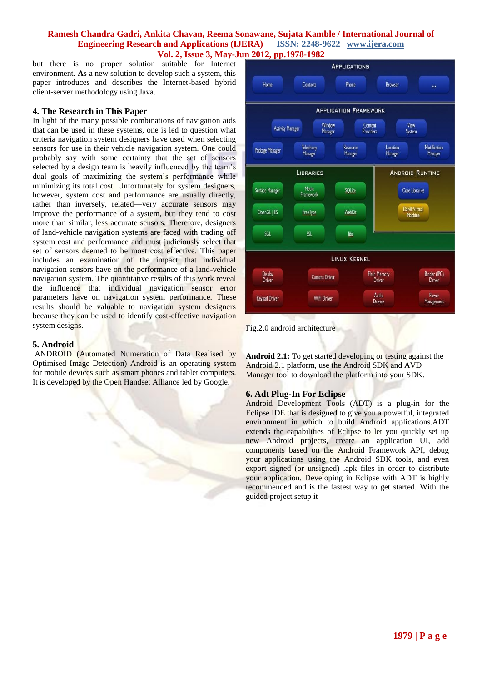but there is no proper solution suitable for Internet environment. **As** a new solution to develop such a system, this paper introduces and describes the Internet-based hybrid client-server methodology using Java.

## **4. The Research in This Paper**

In light of the many possible combinations of navigation aids that can be used in these systems, one is led to question what criteria navigation system designers have used when selecting sensors for use in their vehicle navigation system. One could probably say with some certainty that the set of sensors selected by a design team is heavily influenced by the team's dual goals of maximizing the system's performance while minimizing its total cost. Unfortunately for system designers, however, system cost and performance are usually directly, rather than inversely, related—very accurate sensors may improve the performance of a system, but they tend to cost more than similar, less accurate sensors. Therefore, designers of land-vehicle navigation systems are faced with trading off system cost and performance and must judiciously select that set of sensors deemed to be most cost effective. This paper includes an examination of the impact that individual navigation sensors have on the performance of a land-vehicle navigation system. The quantitative results of this work reveal the influence that individual navigation sensor error parameters have on navigation system performance. These results should be valuable to navigation system designers because they can be used to identify cost-effective navigation system designs.

# **5. Android**

ANDROID (Automated Numeration of Data Realised by Optimised Image Detection) Android is an [operating system](http://en.wikipedia.org/wiki/Mobile_operating_system)  [for mobile devices](http://en.wikipedia.org/wiki/Mobile_operating_system) such as [smart phones](http://en.wikipedia.org/wiki/Smartphone) and [tablet computers.](http://en.wikipedia.org/wiki/Tablet_computer) It is developed by the Open [Handset Alliance](http://en.wikipedia.org/wiki/Open_Handset_Alliance) led by [Google.](http://en.wikipedia.org/wiki/Google)



Fig.2.0 android architecture

**Android 2.1:** To get started developing or testing against the Android 2.1 platform, use the Android SDK and AVD Manager tool to download the platform into your SDK.

# **6. Adt Plug-In For Eclipse**

Android Development Tools (ADT) is a plug-in for the Eclipse IDE that is designed to give you a powerful, integrated environment in which to build Android applications.ADT extends the capabilities of Eclipse to let you quickly set up new Android projects, create an application UI, add components based on the Android Framework API, debug your applications using the Android SDK tools, and even export signed (or unsigned) .apk files in order to distribute your application. Developing in Eclipse with ADT is highly recommended and is the fastest way to get started. With the guided project setup it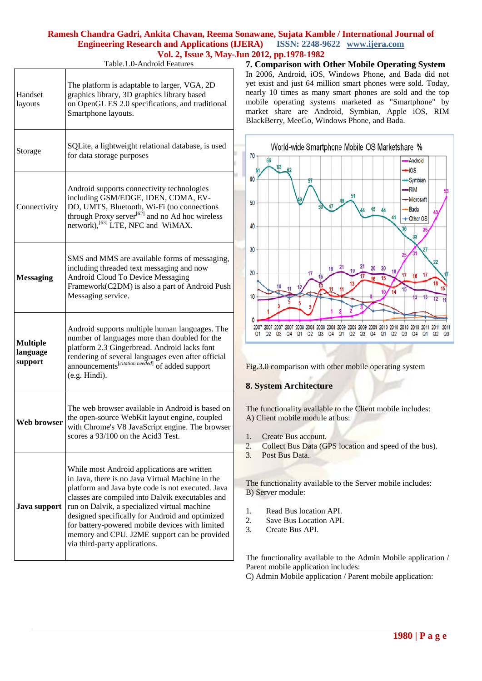Table.1.0-Android Features

| Handset<br>layouts                     | The platform is adaptable to larger, VGA, 2D<br>graphics library, 3D graphics library based<br>on OpenGL ES 2.0 specifications, and traditional<br>Smartphone layouts.                                                                                                                                                                                                                                                                          |
|----------------------------------------|-------------------------------------------------------------------------------------------------------------------------------------------------------------------------------------------------------------------------------------------------------------------------------------------------------------------------------------------------------------------------------------------------------------------------------------------------|
| Storage                                | SQLite, a lightweight relational database, is used<br>for data storage purposes                                                                                                                                                                                                                                                                                                                                                                 |
| Connectivity                           | Android supports connectivity technologies<br>including GSM/EDGE, IDEN, CDMA, EV-<br>DO, UMTS, Bluetooth, Wi-Fi (no connections<br>through Proxy server <sup>[62]</sup> and no Ad hoc wireless<br>network), <sup>[63]</sup> LTE, NFC and WiMAX.                                                                                                                                                                                                 |
| <b>Messaging</b>                       | SMS and MMS are available forms of messaging,<br>including threaded text messaging and now<br>Android Cloud To Device Messaging<br>Framework(C2DM) is also a part of Android Push<br>Messaging service.                                                                                                                                                                                                                                         |
| <b>Multiple</b><br>language<br>support | Android supports multiple human languages. The<br>number of languages more than doubled for the<br>platform 2.3 Gingerbread. Android lacks font<br>rendering of several languages even after official<br>announcements <sup>[citation needed]</sup> of added support<br>(e.g. Hindi).                                                                                                                                                           |
| Web browser                            | The web browser available in Android is based on<br>the open-source WebKit layout engine, coupled<br>with Chrome's V8 JavaScript engine. The browser<br>scores a 93/100 on the Acid3 Test.                                                                                                                                                                                                                                                      |
| Java support                           | While most Android applications are written<br>in Java, there is no Java Virtual Machine in the<br>platform and Java byte code is not executed. Java<br>classes are compiled into Dalvik executables and<br>run on Dalvik, a specialized virtual machine<br>designed specifically for Android and optimized<br>for battery-powered mobile devices with limited<br>memory and CPU. J2ME support can be provided<br>via third-party applications. |

**7. Comparison with Other Mobile Operating System** In 2006, Android, iOS, Windows Phone, and Bada did not yet exist and just 64 million smart phones were sold. Today, nearly 10 times as many smart phones are sold and the top mobile operating systems marketed as "Smartphone" by market share are [Android,](http://en.wikipedia.org/wiki/Android_%28operating_system%29) [Symbian,](http://en.wikipedia.org/wiki/Symbian) [Apple iOS,](http://en.wikipedia.org/wiki/IOS_%28Apple%29) [RIM](http://en.wikipedia.org/wiki/BlackBerry_OS)  [BlackBerry,](http://en.wikipedia.org/wiki/BlackBerry_OS) [MeeGo,](http://en.wikipedia.org/wiki/MeeGo) [Windows Phone,](http://en.wikipedia.org/wiki/Windows_Phone_7) and [Bada.](http://en.wikipedia.org/wiki/Bada)



Fig.3.0 comparison with other mobile operating system

# **8. System Architecture**

The functionality available to the Client mobile includes: A) Client mobile module at bus:

- 1. Create Bus account.
- 2. Collect Bus Data (GPS location and speed of the bus).
- 3. Post Bus Data.

The functionality available to the Server mobile includes: B) Server module:

- 1. Read Bus location API.
- 2. Save Bus Location API.
- 3. Create Bus API.

The functionality available to the Admin Mobile application / Parent mobile application includes:

C) Admin Mobile application / Parent mobile application: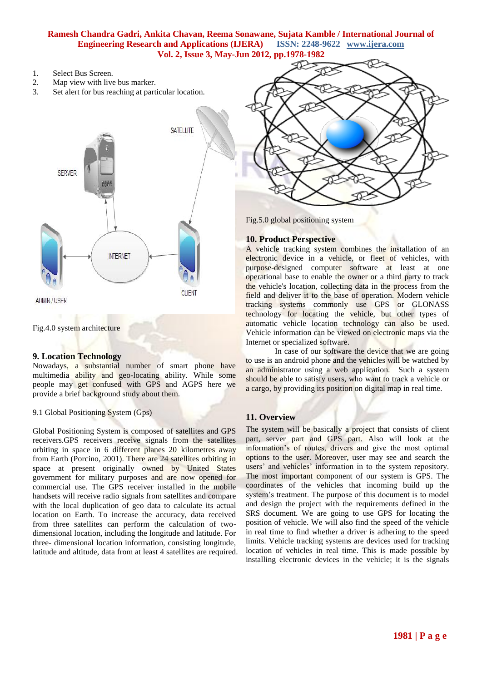- 1. Select Bus Screen.
- 2. Map view with live bus marker.
- 3. Set alert for bus reaching at particular location.



Fig.4.0 system architecture

#### **9. Location Technology**

Nowadays, a substantial number of smart phone have multimedia ability and geo-locating ability. While some people may get confused with GPS and AGPS here we provide a brief background study about them.

## 9.1 Global Positioning System (Gps)

Global Positioning System is composed of satellites and GPS receivers.GPS receivers receive signals from the satellites orbiting in space in 6 different planes 20 kilometres away from Earth (Porcino, 2001). There are 24 satellites orbiting in space at present originally owned by United States government for military purposes and are now opened for commercial use. The GPS receiver installed in the mobile handsets will receive radio signals from satellites and compare with the local duplication of geo data to calculate its actual location on Earth. To increase the accuracy, data received from three satellites can perform the calculation of twodimensional location, including the longitude and latitude. For three- dimensional location information, consisting longitude, latitude and altitude, data from at least 4 satellites are required.



Fig.5.0 global positioning system

## **10. Product Perspective**

A vehicle tracking system combines the installation of an electronic device in a vehicle, or fleet of vehicles, with purpose-designed [computer software](http://en.wikipedia.org/wiki/Computer_software) at least at one operational base to enable the owner or a third party to track the vehicle's location, collecting data in the process from the field and deliver it to the base of operation. Modern vehicle tracking systems commonly use [GPS](http://en.wikipedia.org/wiki/Global_Positioning_System) or [GLONASS](http://en.wikipedia.org/wiki/GLONASS) technology for locating the vehicle, but other types of [automatic vehicle location](http://en.wikipedia.org/wiki/Automatic_vehicle_location) technology can also be used. Vehicle information can be viewed on electronic maps via the Internet or specialized software.

In case of our software the device that we are going to use is an android phone and the vehicles will be watched by an administrator using a web application. Such a system should be able to satisfy users, who want to track a vehicle or a cargo, by providing its position on digital map in real time.

# **11. Overview**

The system will be basically a project that consists of client part, server part and GPS part. Also will look at the information's of routes, drivers and give the most optimal options to the user. Moreover, user may see and search the users' and vehicles' information in to the system repository. The most important component of our system is GPS. The coordinates of the vehicles that incoming build up the system's treatment. The purpose of this document is to model and design the project with the requirements defined in the SRS document. We are going to use GPS for locating the position of vehicle. We will also find the speed of the vehicle in real time to find whether a driver is adhering to the speed limits. Vehicle tracking systems are devices used for tracking location of vehicles in real time. This is made possible by installing electronic devices in the vehicle; it is the signals